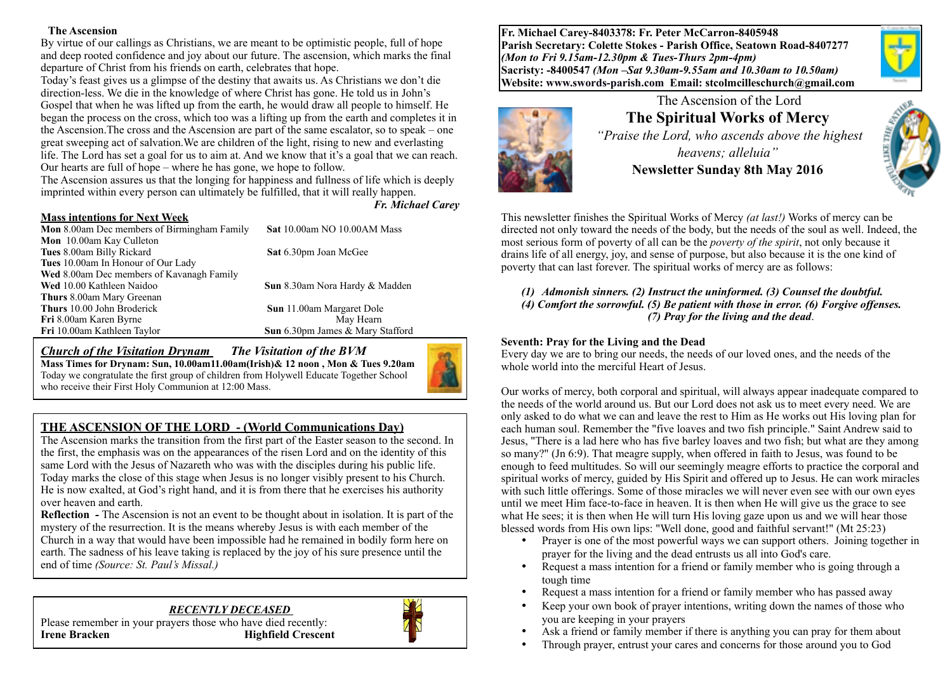#### **The Ascension**

By virtue of our callings as Christians, we are meant to be optimistic people, full of hope and deep rooted confidence and joy about our future. The ascension, which marks the final departure of Christ from his friends on earth, celebrates that hope.

Today's feast gives us a glimpse of the destiny that awaits us. As Christians we don't die direction-less. We die in the knowledge of where Christ has gone. He told us in John's Gospel that when he was lifted up from the earth, he would draw all people to himself. He began the process on the cross, which too was a lifting up from the earth and completes it in the Ascension.The cross and the Ascension are part of the same escalator, so to speak – one great sweeping act of salvation.We are children of the light, rising to new and everlasting life. The Lord has set a goal for us to aim at. And we know that it's a goal that we can reach. Our hearts are full of hope – where he has gone, we hope to follow.

The Ascension assures us that the longing for happiness and fullness of life which is deeply imprinted within every person can ultimately be fulfilled, that it will really happen.

*Fr. Michael Carey*

| <b>Mass intentions for Next Week</b>               |                                  |
|----------------------------------------------------|----------------------------------|
| <b>Mon</b> 8.00am Dec members of Birmingham Family | Sat 10.00am NO 10.00AM Mass      |
| <b>Mon</b> 10.00am Kay Culleton                    |                                  |
| Tues 8.00am Billy Rickard                          | Sat 6.30pm Joan McGee            |
| Tues 10.00am In Honour of Our Lady                 |                                  |
| Wed 8.00am Dec members of Kavanagh Family          |                                  |
| Wed 10.00 Kathleen Naidoo                          | Sun 8.30am Nora Hardy & Madden   |
| <b>Thurs</b> 8.00am Mary Greenan                   |                                  |
| Thurs 10.00 John Broderick                         | <b>Sun</b> 11.00am Margaret Dole |
| Fri 8.00am Karen Byrne                             | May Hearn                        |
| Fri 10.00am Kathleen Taylor                        | Sun 6.30pm James & Mary Stafford |

### *Church of the Visitation Drynam**The Visitation of the BVM*

**Mass Times for Drynam: Sun, 10.00am11.00am(Irish)& 12 noon , Mon & Tues 9.20am**  Today we congratulate the first group of children from Holywell Educate Together School who receive their First Holy Communion at 12:00 Mass.



### **THE ASCENSION OF THE LORD - (World Communications Day)**

The Ascension marks the transition from the first part of the Easter season to the second. In the first, the emphasis was on the appearances of the risen Lord and on the identity of this same Lord with the Jesus of Nazareth who was with the disciples during his public life. Today marks the close of this stage when Jesus is no longer visibly present to his Church. He is now exalted, at God's right hand, and it is from there that he exercises his authority over heaven and earth.

**Reflection -** The Ascension is not an event to be thought about in isolation. It is part of the mystery of the resurrection. It is the means whereby Jesus is with each member of the Church in a way that would have been impossible had he remained in bodily form here on earth. The sadness of his leave taking is replaced by the joy of his sure presence until the end of time *(Source: St. Paul's Missal.)*

# *RECENTLY DECEASED*





**Fr. Michael Carey-8403378: Fr. Peter McCarron-8405948 Parish Secretary: Colette Stokes - Parish Office, Seatown Road-8407277**  *(Mon to Fri 9.15am-12.30pm & Tues-Thurs 2pm-4pm)*  **Sacristy: -8400547** *(Mon –Sat 9.30am-9.55am and 10.30am to 10.50am)* **Website: [www.swords-parish.com Email:](http://www.swords-parish.com%20%20email) stcolmcilleschurch@gmail.com**



# The Ascension of the Lord **The Spiritual Works of Mercy**

 *"Praise the Lord, who ascends above the highest heavens; alleluia"*  **Newsletter Sunday 8th May 2016** 



This newsletter finishes the Spiritual Works of Mercy *(at last!)* Works of mercy can be directed not only toward the needs of the body, but the needs of the soul as well. Indeed, the most serious form of poverty of all can be the *poverty of the spirit*, not only because it drains life of all energy, joy, and sense of purpose, but also because it is the one kind of poverty that can last forever. The spiritual works of mercy are as follows:

*(1) Admonish sinners. (2) Instruct the uninformed. (3) Counsel the doubtful. (4) Comfort the sorrowful. (5) Be patient with those in error. (6) Forgive offenses. (7) Pray for the living and the dead*.

#### **Seventh: Pray for the Living and the Dead**

Every day we are to bring our needs, the needs of our loved ones, and the needs of the whole world into the merciful Heart of Jesus.

Our works of mercy, both corporal and spiritual, will always appear inadequate compared to the needs of the world around us. But our Lord does not ask us to meet every need. We are only asked to do what we can and leave the rest to Him as He works out His loving plan for each human soul. Remember the "five loaves and two fish principle." Saint Andrew said to Jesus, "There is a lad here who has five barley loaves and two fish; but what are they among so many?" (Jn 6:9). That meagre supply, when offered in faith to Jesus, was found to be enough to feed multitudes. So will our seemingly meagre efforts to practice the corporal and spiritual works of mercy, guided by His Spirit and offered up to Jesus. He can work miracles with such little offerings. Some of those miracles we will never even see with our own eyes until we meet Him face-to-face in heaven. It is then when He will give us the grace to see what He sees; it is then when He will turn His loving gaze upon us and we will hear those blessed words from His own lips: "Well done, good and faithful servant!" (Mt 25:23)

- Prayer is one of the most powerful ways we can support others. Joining together in prayer for the living and the dead entrusts us all into God's care.
- Request a mass intention for a friend or family member who is going through a tough time
- Request a mass intention for a friend or family member who has passed away
- Keep your own book of prayer intentions, writing down the names of those who you are keeping in your prayers
- Ask a friend or family member if there is anything you can pray for them about
- Through prayer, entrust your cares and concerns for those around you to God